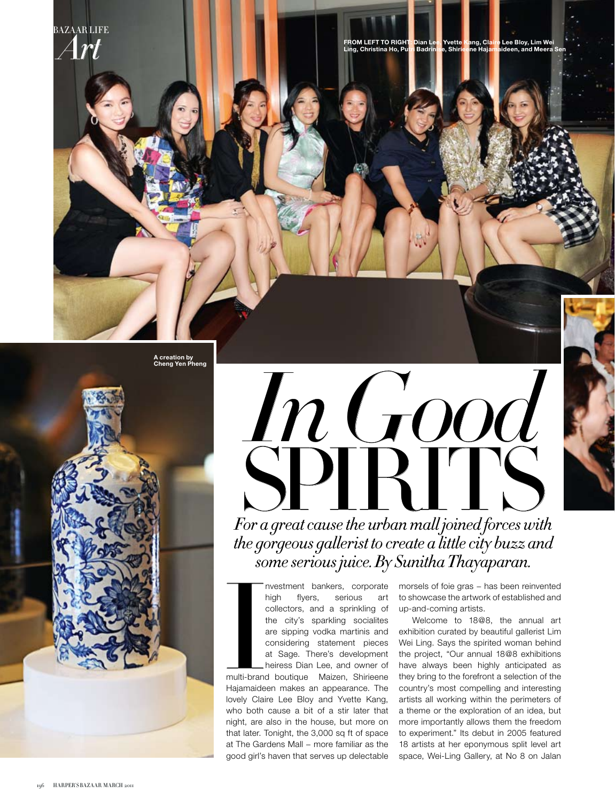

**A creation by Cheng Yen Pheng**



 $\sum$  or a great cause the urban mall joined forces with In Good

For a great cause the urban mall joined forces with the gorgeous gallerist to create a little city buzz and some serious juice. By Sunitha Thayaparan.

r<br>
f<br>
c<br>
c<br>
t<br>
c<br>
c<br>
f<br>
multi-branc<br>
Hajamaide<br>
lovely Clair nvestment bankers, corporate high flyers, serious art collectors, and a sprinkling of the city's sparkling socialites are sipping vodka martinis and considering statement pieces at Sage. There's development heiress Dian Lee, and owner of multi-brand boutique Maizen, Shirieene Hajamaideen makes an appearance. The lovely Claire Lee Bloy and Yvette Kang, who both cause a bit of a stir later that night, are also in the house, but more on that later. Tonight, the 3,000 sq ft of space at The Gardens Mall − more familiar as the good girl's haven that serves up delectable

morsels of foie gras − has been reinvented to showcase the artwork of established and up-and-coming artists.

Welcome to 18@8, the annual art exhibition curated by beautiful gallerist Lim Wei Ling. Says the spirited woman behind the project, "Our annual 18@8 exhibitions have always been highly anticipated as they bring to the forefront a selection of the country's most compelling and interesting artists all working within the perimeters of a theme or the exploration of an idea, but more importantly allows them the freedom to experiment." Its debut in 2005 featured 18 artists at her eponymous split level art space, Wei-Ling Gallery, at No 8 on Jalan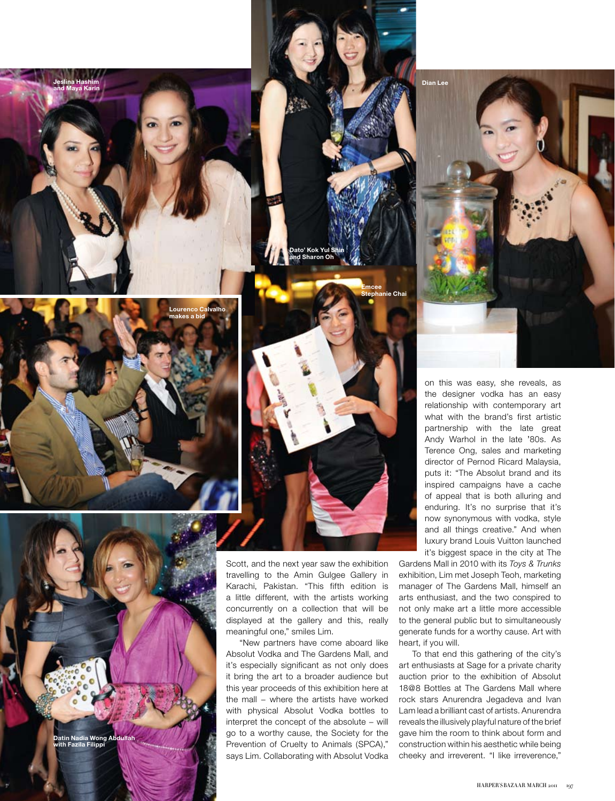



Scott, and the next year saw the exhibition travelling to the Amin Gulgee Gallery in Karachi, Pakistan. "This fifth edition is a little different, with the artists working concurrently on a collection that will be displayed at the gallery and this, really

"New partners have come aboard like Absolut Vodka and The Gardens Mall, and it's especially significant as not only does it bring the art to a broader audience but this year proceeds of this exhibition here at the mall − where the artists have worked with physical Absolut Vodka bottles to interpret the concept of the absolute − will go to a worthy cause, the Society for the Prevention of Cruelty to Animals (SPCA)," says Lim. Collaborating with Absolut Vodka

meaningful one," smiles Lim.



**Datin Nadia Wong Abdullah with Fazila Filippi**

on this was easy, she reveals, as the designer vodka has an easy relationship with contemporary art what with the brand's first artistic partnership with the late great Andy Warhol in the late '80s. As Terence Ong, sales and marketing director of Pernod Ricard Malaysia, puts it: "The Absolut brand and its inspired campaigns have a cache of appeal that is both alluring and enduring. It's no surprise that it's now synonymous with vodka, style and all things creative." And when luxury brand Louis Vuitton launched it's biggest space in the city at The

Gardens Mall in 2010 with its *Toys & Trunks* exhibition, Lim met Joseph Teoh, marketing manager of The Gardens Mall, himself an arts enthusiast, and the two conspired to not only make art a little more accessible to the general public but to simultaneously generate funds for a worthy cause. Art with heart, if you will.

To that end this gathering of the city's art enthusiasts at Sage for a private charity auction prior to the exhibition of Absolut 18@8 Bottles at The Gardens Mall where rock stars Anurendra Jegadeva and Ivan Lam lead a brilliant cast of artists. Anurendra reveals the illusively playful nature of the brief gave him the room to think about form and construction within his aesthetic while being cheeky and irreverent. "I like irreverence,"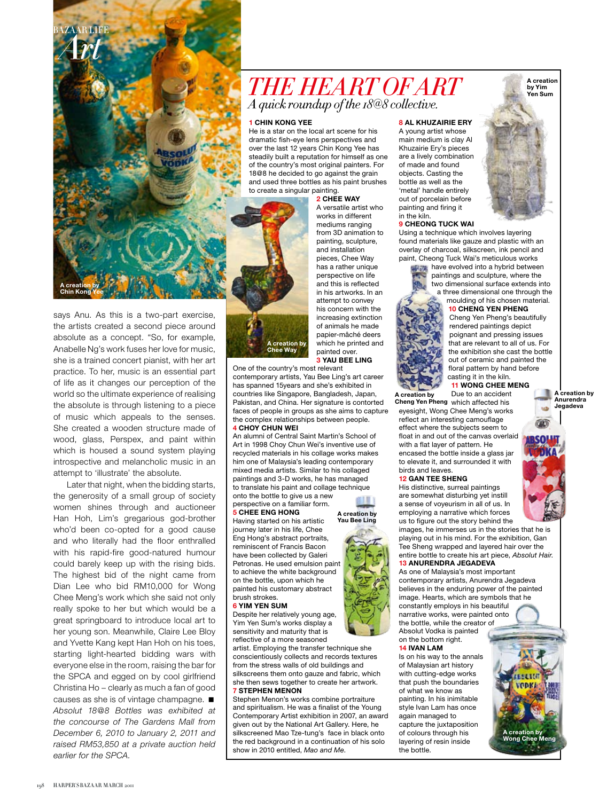

says Anu. As this is a two-part exercise, the artists created a second piece around absolute as a concept. "So, for example, Anabelle Ng's work fuses her love for music, she is a trained concert pianist, with her art practice. To her, music is an essential part of life as it changes our perception of the world so the ultimate experience of realising the absolute is through listening to a piece of music which appeals to the senses. She created a wooden structure made of wood, glass, Perspex, and paint within which is housed a sound system playing introspective and melancholic music in an attempt to 'illustrate' the absolute.

Later that night, when the bidding starts, the generosity of a small group of society women shines through and auctioneer Han Hoh, Lim's gregarious god-brother who'd been co-opted for a good cause and who literally had the floor enthralled with his rapid-fire good-natured humour could barely keep up with the rising bids. The highest bid of the night came from Dian Lee who bid RM10,000 for Wong Chee Meng's work which she said not only really spoke to her but which would be a great springboard to introduce local art to her young son. Meanwhile, Claire Lee Bloy and Yvette Kang kept Han Hoh on his toes, starting light-hearted bidding wars with everyone else in the room, raising the bar for the SPCA and egged on by cool girlfriend Christina Ho − clearly as much a fan of good causes as she is of vintage champagne. *Absolut 18@8 Bottles was exhibited at the concourse of The Gardens Mall from December 6, 2010 to January 2, 2011 and raised RM53,850 at a private auction held earlier for the SPCA.*

# A quick roundup of the 18@8 collective. The Heart of art

### **1 Chin Kong Yee**

He is a star on the local art scene for his dramatic fish-eye lens perspectives and over the last 12 years Chin Kong Yee has steadily built a reputation for himself as one of the country's most original painters. For 18@8 he decided to go against the grain and used three bottles as his paint brushes to create a singular painting.

## **2 CHEE WAY** A versatile artist who

works in different mediums ranging from 3D animation to painting, sculpture, and installation pieces, Chee Way has a rather unique perspective on life and this is reflected in his artworks. In an attempt to convey his concern with the increasing extinction of animals he made papier-mâché deers which he printed and painted over. **3 Yau Bee Ling**

One of the country's most relevant

contemporary artists, Yau Bee Ling's art career has spanned 15years and she's exhibited in countries like Singapore, Bangladesh, Japan, Pakistan, and China. Her signature is contorted faces of people in groups as she aims to capture the complex relationships between people. **4 Choy Chun Wei**

**A creation by Chee Way**

An alumni of Central Saint Martin's School of Art in 1998 Choy Chun Wei's inventive use of recycled materials in his collage works makes him one of Malaysia's leading contemporary mixed media artists. Similar to his collaged paintings and 3-D works, he has managed to translate his paint and collage technique onto the bottle to give us a new

#### perspective on a familiar form. **5 Chee Eng Hong**

Having started on his artistic journey later in his life, Chee Eng Hong's abstract portraits, reminiscent of Francis Bacon have been collected by Galeri Petronas. He used emulsion paint to achieve the white background on the bottle, upon which he painted his customary abstract brush strokes. **A creation by Yau Bee Ling**

#### **6 Yim Yen Sum**

Despite her relatively young age, Yim Yen Sum's works display a sensitivity and maturity that is reflective of a more seasoned

artist. Employing the transfer technique she conscientiously collects and records textures from the stress walls of old buildings and silkscreens them onto gauze and fabric, which she then sews together to create her artwork. **7 Stephen Menon**

Stephen Menon's works combine portraiture and spiritualism. He was a finalist of the Young Contemporary Artist exhibition in 2007, an award given out by the National Art Gallery. Here, he silkscreened Mao Tze-tung's face in black onto the red background in a continuation of his solo show in 2010 entitled, *Mao and Me*.

## **8 AL Khuzairie Ery**

A young artist whose main medium is clay Al Khuzairie Ery's pieces are a lively combination of made and found objects. Casting the bottle as well as the 'metal' handle entirely out of porcelain before painting and firing it in the kiln.

### **9 Cheong Tuck Wai**

Using a technique which involves layering found materials like gauze and plastic with an overlay of charcoal, silkscreen, ink pencil and paint, Cheong Tuck Wai's meticulous works

> have evolved into a hybrid between paintings and sculpture, where the two dimensional surface extends into a three dimensional one through the

> > moulding of his chosen material. **10 Cheng Yen Pheng** Cheng Yen Pheng's beautifully rendered paintings depict poignant and pressing issues that are relevant to all of us. For the exhibition she cast the bottle out of ceramic and painted the floral pattern by hand before casting it in the kiln.

**11 Wong Chee Meng** Due to an accident

**A creation by Cheng Yen Pheng** which affected his eyesight, Wong Chee Meng's works reflect an interesting camouflage effect where the subjects seem to float in and out of the canvas overlaid with a flat layer of pattern. He encased the bottle inside a glass jar to elevate it, and surrounded it with birds and leaves.

# **12 Gan Tee Sheng**

His distinctive, surreal paintings are somewhat disturbing yet instill a sense of voyeurism in all of us. In employing a narrative which forces us to figure out the story behind the

images, he immerses us in the stories that he is playing out in his mind. For the exhibition, Gan Tee Sheng wrapped and layered hair over the entire bottle to create his art piece, *Absolut Hair*.

## **13 Anurendra Jegadeva**

As one of Malaysia's most important contemporary artists, Anurendra Jegadeva believes in the enduring power of the painted image. Hearts, which are symbols that he constantly employs in his beautiful narrative works, were painted onto the bottle, while the creator of Absolut Vodka is painted on the bottom right.

# **14 Ivan Lam**

Is on his way to the annals of Malaysian art history with cutting-edge works that push the boundaries of what we know as painting. In his inimitable style Ivan Lam has once again managed to capture the juxtaposition of colours through his layering of resin inside the bottle.





**A creation by Yim Yen Sum**

> **A creation by Anurendra Jegadeva** ä,